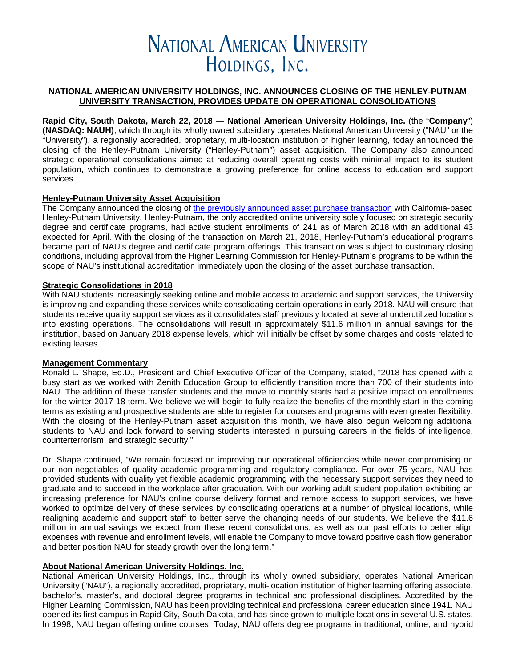# **NATIONAL AMERICAN UNIVERSITY** HOLDINGS, INC.

#### **NATIONAL AMERICAN UNIVERSITY HOLDINGS, INC. ANNOUNCES CLOSING OF THE HENLEY-PUTNAM UNIVERSITY TRANSACTION, PROVIDES UPDATE ON OPERATIONAL CONSOLIDATIONS**

**Rapid City, South Dakota, March 22, 2018 — National American University Holdings, Inc.** (the "**Company**") **(NASDAQ: NAUH)**, which through its wholly owned subsidiary operates National American University ("NAU" or the "University"), a regionally accredited, proprietary, multi-location institution of higher learning, today announced the closing of the Henley-Putnam University ("Henley-Putnam") asset acquisition. The Company also announced strategic operational consolidations aimed at reducing overall operating costs with minimal impact to its student population, which continues to demonstrate a growing preference for online access to education and support services.

## **Henley-Putnam University Asset Acquisition**

The Company announced the closing of [the previously announced asset purchase transaction](https://globenewswire.com/news-release/2017/07/21/1055830/0/en/National-American-University-Holdings-Inc-Announces-Plans-to-Acquire-Strategic-Security-Focused-Henley-Putnam-University.html) with California-based Henley-Putnam University. Henley-Putnam, the only accredited online university solely focused on strategic security degree and certificate programs, had active student enrollments of 241 as of March 2018 with an additional 43 expected for April. With the closing of the transaction on March 21, 2018, Henley-Putnam's educational programs became part of NAU's degree and certificate program offerings. This transaction was subject to customary closing conditions, including approval from the Higher Learning Commission for Henley-Putnam's programs to be within the scope of NAU's institutional accreditation immediately upon the closing of the asset purchase transaction.

## **Strategic Consolidations in 2018**

With NAU students increasingly seeking online and mobile access to academic and support services, the University is improving and expanding these services while consolidating certain operations in early 2018. NAU will ensure that students receive quality support services as it consolidates staff previously located at several underutilized locations into existing operations. The consolidations will result in approximately \$11.6 million in annual savings for the institution, based on January 2018 expense levels, which will initially be offset by some charges and costs related to existing leases.

#### **Management Commentary**

Ronald L. Shape, Ed.D., President and Chief Executive Officer of the Company, stated, "2018 has opened with a busy start as we worked with Zenith Education Group to efficiently transition more than 700 of their students into NAU. The addition of these transfer students and the move to monthly starts had a positive impact on enrollments for the winter 2017-18 term. We believe we will begin to fully realize the benefits of the monthly start in the coming terms as existing and prospective students are able to register for courses and programs with even greater flexibility. With the closing of the Henley-Putnam asset acquisition this month, we have also begun welcoming additional students to NAU and look forward to serving students interested in pursuing careers in the fields of intelligence, counterterrorism, and strategic security."

Dr. Shape continued, "We remain focused on improving our operational efficiencies while never compromising on our non-negotiables of quality academic programming and regulatory compliance. For over 75 years, NAU has provided students with quality yet flexible academic programming with the necessary support services they need to graduate and to succeed in the workplace after graduation. With our working adult student population exhibiting an increasing preference for NAU's online course delivery format and remote access to support services, we have worked to optimize delivery of these services by consolidating operations at a number of physical locations, while realigning academic and support staff to better serve the changing needs of our students. We believe the \$11.6 million in annual savings we expect from these recent consolidations, as well as our past efforts to better align expenses with revenue and enrollment levels, will enable the Company to move toward positive cash flow generation and better position NAU for steady growth over the long term."

#### **About National American University Holdings, Inc.**

National American University Holdings, Inc., through its wholly owned subsidiary, operates National American University ("NAU"), a regionally accredited, proprietary, multi-location institution of higher learning offering associate, bachelor's, master's, and doctoral degree programs in technical and professional disciplines. Accredited by the Higher Learning Commission, NAU has been providing technical and professional career education since 1941. NAU opened its first campus in Rapid City, South Dakota, and has since grown to multiple locations in several U.S. states. In 1998, NAU began offering online courses. Today, NAU offers degree programs in traditional, online, and hybrid